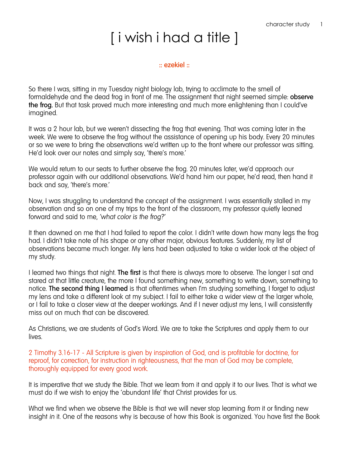# [ i wish i had a title ]

### **:: ezekiel ::**

So there I was, sitting in my Tuesday night biology lab, trying to acclimate to the smell of formaldehyde and the dead frog in front of me. The assignment that night seemed simple: **observe the frog.** But that task proved much more interesting and much more enlightening than I could've imagined.

It was a 2 hour lab, but we weren't dissecting the frog that evening. That was coming later in the week. We were to observe the frog without the assistance of opening up his body. Every 20 minutes or so we were to bring the observations we'd written up to the front where our professor was sitting. He'd look over our notes and simply say, 'there's more.'

We would return to our seats to further observe the frog. 20 minutes later, we'd approach our professor again with our additional observations. We'd hand him our paper, he'd read, then hand it back and say, 'there's more.'

Now, I was struggling to understand the concept of the assignment. I was essentially stalled in my observation and so on one of my trips to the front of the classroom, my professor quietly leaned forward and said to me, *'what color is the frog?'*

It then dawned on me that I had failed to report the color. I didn't write down how many legs the frog had. I didn't take note of his shape or any other major, obvious features. Suddenly, my list of observations became much longer. My lens had been adjusted to take a wider look at the object of my study.

I learned two things that night. **The first** is that there is always more to observe. The longer I sat and stared at that little creature, the more I found something new, something to write down, something to notice. **The second thing I learned** is that oftentimes when I'm studying something, I forget to adjust my lens and take a different look at my subject. I fail to either take a wider view at the larger whole, or I fail to take a closer view at the deeper workings. And if I never adjust my lens, I will consistently miss out on much that can be discovered.

As Christians, we are students of God's Word. We are to take the Scriptures and apply them to our lives.

2 Timothy 3.16-17 - All Scripture is given by inspiration of God, and is profitable for doctrine, for reproof, for correction, for instruction in righteousness, that the man of God may be complete, thoroughly equipped for every good work.

It is imperative that we study the Bible. That we learn from it and apply it to our lives. That is what we must do if we wish to enjoy the 'abundant life' that Christ provides for us.

What we find when we observe the Bible is that we will never stop learning *from* it or finding new insight *in* it. One of the reasons why is because of how this Book is organized. You have first the Book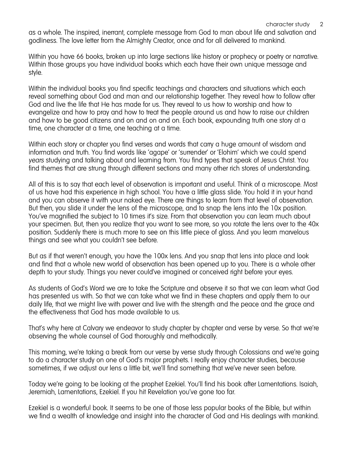as a whole. The inspired, inerrant, complete message from God to man about life and salvation and godliness. The love letter from the Almighty Creator, once and for all delivered to mankind.

Within you have 66 books, broken up into large sections like history or prophecy or poetry or narrative. Within those groups you have individual books which each have their own unique message and style.

Within the individual books you find specific teachings and characters and situations which each reveal something about God and man and our relationship together. They reveal how to follow after God and live the life that He has made for us. They reveal to us how to worship and how to evangelize and how to pray and how to treat the people around us and how to raise our children and how to be good citizens and on and on and on. Each book, expounding truth one story at a time, one character at a time, one teaching at a time.

Within each story or chapter you find verses and words that carry a huge amount of wisdom and information and truth. You find words like 'agape' or 'surrender' or 'Elohim' which we could spend *years* studying and talking about and learning from. You find types that speak of Jesus Christ. You find themes that are strung through different sections and many other rich stores of understanding.

All of this is to say that each level of observation is important and useful. Think of a microscope. Most of us have had this experience in high school. You have a little glass slide. You hold it in your hand and you can observe it with your naked eye. There are things to learn from that level of observation. But then, you slide it under the lens of the microscope, and to snap the lens into the 10x position. You've magnified the subject to 10 times it's size. From that observation you can learn much about your specimen. But, then you realize that you want to see more, so you rotate the lens over to the 40x position. Suddenly there is much more to see on this little piece of glass. And you learn marvelous things and see what you couldn't see before.

But as if that weren't enough, you have the 100x lens. And you snap that lens into place and look and find that a whole new world of observation has been opened up to you. There is a whole other depth to your study. Things you never could've imagined or conceived right before your eyes.

As students of God's Word we are to take the Scripture and observe it so that we can learn what God has presented us with. So that we can take what we find in these chapters and apply them to our daily life, that we might live with power and live with the strength and the peace and the grace and the effectiveness that God has made available to us.

That's why here at Calvary we endeavor to study chapter by chapter and verse by verse. So that we're observing the whole counsel of God thoroughly and methodically.

This morning, we're taking a break from our verse by verse study through Colossians and we're going to do a character study on one of God's major prophets. I really enjoy character studies, because sometimes, if we adjust our lens a little bit, we'll find something that we've never seen before.

Today we're going to be looking at the prophet Ezekiel. You'll find his book after Lamentations. Isaiah, Jeremiah, Lamentations, Ezekiel. If you hit Revelation you've gone too far.

Ezekiel is a wonderful book. It seems to be one of those less popular books of the Bible, but within we find a wealth of knowledge and insight into the character of God and His dealings with mankind.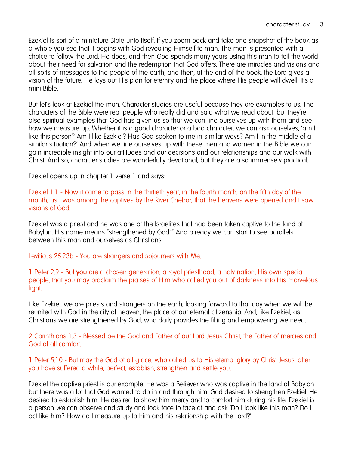Ezekiel is sort of a miniature Bible unto itself. If you zoom back and take one snapshot of the book as a whole you see that it begins with God revealing Himself to man. The man is presented with a choice to follow the Lord. He does, and then God spends many years using this man to tell the world about their need for salvation and the redemption that God offers. There are miracles and visions and all sorts of messages to the people of the earth, and then, at the end of the book, the Lord gives a vision of the future. He lays out His plan for eternity and the place where His people will dwell. It's a mini Bible.

But let's look at Ezekiel the man. Character studies are useful because they are examples to us. The characters of the Bible were real people who really did and said what we read about, but they're also spiritual examples that God has given us so that we can line ourselves up with them and see how we measure up. Whether it is a good character or a bad character, we can ask ourselves, 'am I like this person? Am I like Ezekiel? Has God spoken to me in similar ways? Am I in the middle of a similar situation?' And when we line ourselves up with these men and women in the Bible we can gain incredible insight into our attitudes and our decisions and our relationships and our walk with Christ. And so, character studies are wonderfully devotional, but they are also immensely practical.

Ezekiel opens up in chapter 1 verse 1 and says:

Ezekiel 1.1 - Now it came to pass in the thirtieth year, in the fourth month, on the fifth day of the month, as I was among the captives by the River Chebar, that the heavens were opened and I saw visions of God.

Ezekiel was a priest and he was one of the Israelites that had been taken captive to the land of Babylon. His name means "strengthened by God.'" And already we can start to see parallels between this man and ourselves as Christians.

Leviticus 25.23b - You are strangers and sojourners with Me.

1 Peter 2.9 - But **you** are a chosen generation, a royal priesthood, a holy nation, His own special people, that you may proclaim the praises of Him who called you out of darkness into His marvelous light.

Like Ezekiel, we are priests and strangers on the earth, looking forward to that day when we will be reunited with God in the city of heaven, the place of our eternal citizenship. And, like Ezekiel, as Christians we are strengthened by God, who daily provides the filling and empowering we need.

2 Corinthians 1.3 - Blessed be the God and Father of our Lord Jesus Christ, the Father of mercies and God of all comfort.

1 Peter 5.10 - But may the God of all grace, who called us to His eternal glory by Christ Jesus, after you have suffered a while, perfect, establish, strengthen and settle you.

Ezekiel the captive priest is our example. He was a Believer who was captive in the land of Babylon but there was a lot that God wanted to do in and through him. God desired to strengthen Ezekiel. He desired to establish him. He desired to show him mercy and to comfort him during his life. Ezekiel is a person *we* can observe and study and look face to face at and ask 'Do I look like this man? Do I act like him? How do I measure up to him and his relationship with the Lord?'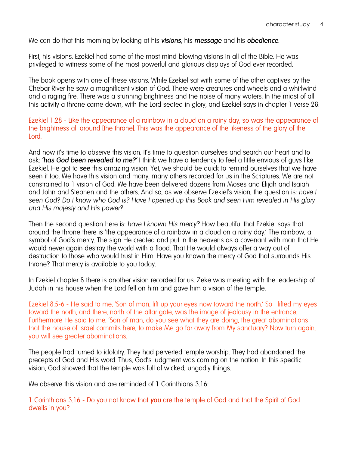We can do that this morning by looking at his *visions*, his *message* and his *obedience*.

First, his visions. Ezekiel had some of the most mind-blowing visions in all of the Bible. He was privileged to witness some of the most powerful and glorious displays of God ever recorded.

The book opens with one of these visions. While Ezekiel sat with some of the other captives by the Chebar River he saw a magnificent vision of God. There were creatures and wheels and a whirlwind and a raging fire. There was a stunning brightness and the noise of many waters. In the midst of all this activity a throne came down, with the Lord seated in glory, and Ezekiel says in chapter 1 verse 28:

## Ezekiel 1.28 - Like the appearance of a rainbow in a cloud on a rainy day, so was the appearance of the brightness all around [the throne]. This was the appearance of the likeness of the glory of the **Lord**

And now it's time to observe this vision. It's time to question ourselves and search our heart and to ask: *'has God been revealed to me?'* I think we have a tendency to feel a little envious of guys like Ezekiel. He got to *see* this amazing vision. Yet, we should be quick to remind ourselves that we have seen it too. We have this vision and many, many others recorded for us in the Scriptures. We are not constrained to 1 vision of God. We have been delivered dozens from Moses and Elijah and Isaiah and John and Stephen and the others. And so, as we observe Ezekiel's vision, the question is: *have I seen God? Do I know who God is? Have I opened up this Book and seen Him revealed in His glory and His majesty and His power?* 

Then the second question here is: *have I known His mercy?* How beautiful that Ezekiel says that around the throne there is 'the appearance of a rainbow in a cloud on a rainy day.' The rainbow, a symbol of God's mercy. The sign He created and put in the heavens as a covenant with man that He would never again destroy the world with a flood. That He would always offer a way out of destruction to those who would trust in Him. Have you known the mercy of God that surrounds His throne? That mercy is available to you today.

In Ezekiel chapter 8 there is another vision recorded for us. Zeke was meeting with the leadership of Judah in his house when the Lord fell on him and gave him a vision of the temple.

Ezekiel 8.5-6 - He said to me, 'Son of man, lift up your eyes now toward the north.' So I lifted my eyes toward the north, and there, north of the altar gate, was the image of jealousy in the entrance. Furthermore He said to me, 'Son of man, do you see what they are doing, the great abominations that the house of Israel commits here, to make Me go far away from My sanctuary? Now turn again, you will see greater abominations.

The people had turned to idolatry. They had perverted temple worship. They had abandoned the precepts of God and His word. Thus, God's judgment was coming on the nation. In this specific vision, God showed that the temple was full of wicked, ungodly things.

We observe this vision and are reminded of 1 Corinthians 3.16:

1 Corinthians 3.16 - Do you not know that *you* are the temple of God and that the Spirit of God dwells in you?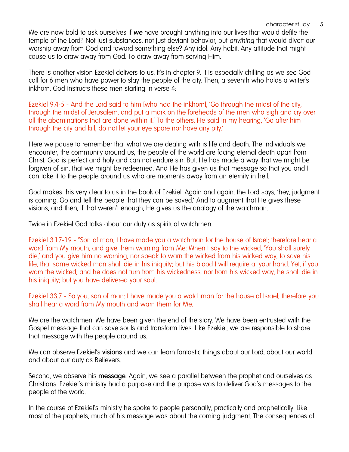We are now bold to ask ourselves if *we* have brought anything into our lives that would defile the temple of the Lord? Not just substances, not just deviant behavior, but *anything* that would divert our worship away from God and toward something else? Any idol. Any habit. Any attitude that might cause us to draw away from God. To draw away from serving Him.

There is another vision Ezekiel delivers to us. It's in chapter 9. It is especially chilling as we see God call for 6 men who have power to slay the people of the city. Then, a seventh who holds a writer's inkhorn. God instructs these men starting in verse 4:

Ezekiel 9.4-5 - And the Lord said to him [who had the inkhorn], 'Go through the midst of the city, through the midst of Jerusalem, and put a mark on the foreheads of the men who sigh and cry over all the abominations that are done within it.' To the others, He said in my hearing, 'Go after him through the city and kill; do not let your eye spare nor have any pity.'

Here we pause to remember that what we are dealing with is life and death. The individuals we encounter, the community around us, the people of the world are facing eternal death apart from Christ. God is perfect and holy and can not endure sin. But, He has made a way that we might be forgiven of sin, that we might be redeemed. And He has given us that message so that you and I can take it to the people around us who are moments away from an eternity in hell.

God makes this very clear to us in the book of Ezekiel. Again and again, the Lord says, 'hey, judgment is coming. Go and tell the people that they can be saved.' And to augment that He gives these visions, and then, if that weren't enough, He gives us the analogy of the watchman.

Twice in Ezekiel God talks about our duty as spiritual watchmen.

Ezekiel 3.17-19 - "Son of man, I have made you a watchman for the house of Israel; therefore hear a word from My mouth, and give them warning from Me: When I say to the wicked, 'You shall surely die,' and you give him no warning, nor speak to warn the wicked from his wicked way, to save his life, that same wicked man shall die in his iniquity; but his blood I will require at your hand. Yet, if you warn the wicked, and he does not turn from his wickedness, nor from his wicked way, he shall die in his iniquity; but you have delivered your soul.

Ezekiel 33.7 - So you, son of man: I have made you a watchman for the house of Israel; therefore you shall hear a word from My mouth and warn them for Me.

We are the watchmen. We have been given the end of the story. We have been entrusted with the Gospel message that can save souls and transform lives. Like Ezekiel, we are responsible to share that message with the people around us.

We can observe Ezekiel's **visions** and we can learn fantastic things about our Lord, about our world and about our duty as Believers.

Second, we observe his **message**. Again, we see a parallel between the prophet and ourselves as Christians. Ezekiel's ministry had a purpose and the purpose was to deliver God's messages to the people of the world.

In the course of Ezekiel's ministry he spoke to people personally, practically and prophetically. Like most of the prophets, much of his message was about the coming judgment. The consequences of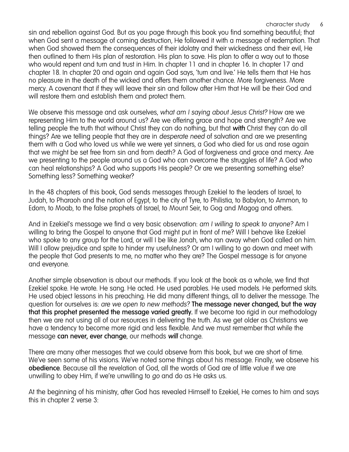sin and rebellion against God. But as you page through this book you find something beautiful; that when God sent a message of coming destruction, He followed it with a message of redemption. That when God showed them the consequences of their idolatry and their wickedness and their evil, He then outlined to them His plan of restoration. His plan to save. His plan to offer a way out to those who would repent and turn and trust in Him. In chapter 11 and in chapter 16. In chapter 17 and chapter 18. In chapter 20 and again and again God says, 'turn and live.' He tells them that He has no pleasure in the death of the wicked and offers them another chance. More forgiveness. More mercy. A covenant that if they will leave their sin and follow after Him that He will be their God and will restore them and establish them and protect them.

We observe this message and ask ourselves, *what am I saying about Jesus Christ?* How are we representing Him to the world around us? Are we offering grace and hope and strength? Are we telling people the truth that without Christ they can do nothing, but that *with* Christ they can do all things? Are we telling people that they are in *desperate need* of salvation and are we presenting them with a God who loved us while we were yet sinners, a God who died for us and rose again that we might be set free from sin and from death? A God of forgiveness and grace and mercy. Are we presenting to the people around us a God who can overcome the struggles of life? A God who can heal relationships? A God who supports His people? Or are we presenting something else? Something less? Something weaker?

In the 48 chapters of this book, God sends messages through Ezekiel to the leaders of Israel, to Judah, to Pharaoh and the nation of Egypt, to the city of Tyre, to Philistia, to Babylon, to Ammon, to Edom, to Moab, to the false prophets of Israel, to Mount Seir, to Gog and Magog and others.

And in Ezekiel's message we find a very basic observation: *am I willing to speak to anyone?* Am I willing to bring the Gospel to anyone that God might put in front of me? Will I behave like Ezekiel who spoke to any group for the Lord, or will I be like Jonah, who ran away when God called on him. Will I allow prejudice and spite to hinder my usefulness? Or am I willing to go down and meet with the people that God presents to me, no matter who they are? The Gospel message is for anyone and everyone.

Another simple observation is about our methods. If you look at the book as a whole, we find that Ezekiel spoke. He wrote. He sang. He acted. He used parables. He used models. He performed skits. He used object lessons in his preaching. He did many different things, all to deliver the message. The question for ourselves is: *are we open to new methods?* **The message never changed, but the way that this prophet presented the message varied greatly.** If we become too rigid in our methodology then we are not using all of our resources in delivering the truth. As we get older as Christians we have a tendency to become more rigid and less flexible. And we must remember that while the message **can never, ever change**, our methods *will* change.

There are many other messages that we could observe from this book, but we are short of time. We've seen some of his visions. We've noted some things about his message. Finally, we observe his **obedience**. Because all the revelation of God, all the words of God are of little value if we are unwilling to obey Him, if we're unwilling to *go* and do as He asks us.

At the beginning of his ministry, after God has revealed Himself to Ezekiel, He comes to him and says this in chapter 2 verse 3: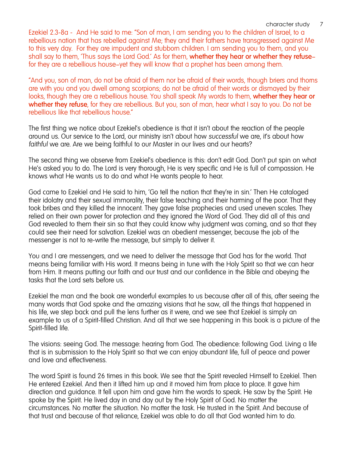Ezekiel 2.3-8a - And He said to me: "Son of man, I am sending you to the children of Israel, to a rebellious nation that has rebelled against Me; they and their fathers have transgressed against Me to this very day. For they are impudent and stubborn children. I am sending you to them, and you shall say to them, 'Thus says the Lord God.' As for them, **whether they hear or whether they refuse** for they are a rebellious house—yet they will know that a prophet has been among them.

"And you, son of man, do not be afraid of them nor be afraid of their words, though briers and thorns are with you and you dwell among scorpions; do not be afraid of their words or dismayed by their looks, though they are a rebellious house. You shall speak My words to them, **whether they hear or whether they refuse**, for they are rebellious. But you, son of man, hear what I say to you. Do not be rebellious like that rebellious house."

The first thing we notice about Ezekiel's obedience is that it isn't about the reaction of the people around us. Our service to the Lord, our ministry isn't about how *successful* we are, it's about how *faithful* we are. Are we being faithful to our Master in our lives and our hearts?

The second thing we observe from Ezekiel's obedience is this: don't edit God. Don't put spin on what He's asked you to do. The Lord is very thorough, He is very specific and He is full of compassion. He knows what He wants us to do and what He wants people to hear.

God came to Ezekiel and He said to him, 'Go tell the nation that they're in sin.' Then He cataloged their idolatry and their sexual immorality, their false teaching and their harming of the poor. That they took bribes and they killed the innocent. They gave false prophecies and used uneven scales. They relied on their own power for protection and they ignored the Word of God. They did all of this and God revealed to them their sin so that they could know why judgment was coming, and so that they could see their need for salvation. Ezekiel was an obedient messenger, because the job of the messenger is not to re-write the message, but simply to deliver it.

You and I are messengers, and we need to deliver the message that God has for the world. That means being familiar with His word. It means being in tune with the Holy Spirit so that we can hear from Him. It means putting our faith and our trust and our confidence in the Bible and obeying the tasks that the Lord sets before us.

Ezekiel the man and the book are wonderful examples to us because after all of this, after seeing the many words that God spoke and the amazing visions that he saw, all the things that happened in his life, we step back and pull the lens further as it were, and we see that Ezekiel is simply an example to us of a Spirit-filled Christian. And all that we see happening in this book is a picture of the Spirit-filled life.

The visions: seeing God. The message: hearing from God. The obedience: following God. Living a life that is in submission to the Holy Spirit so that we can enjoy abundant life, full of peace and power and love and effectiveness.

The word Spirit is found 26 times in this book. We see that the Spirit revealed Himself to Ezekiel. Then He entered Ezekiel. And then it lifted him up and it moved him from place to place. It gave him direction and guidance. It fell upon him and gave him the words to speak. He saw by the Spirit. He spoke by the Spirit. He lived day in and day out by the Holy Spirit of God. No matter the circumstances. No matter the situation. No matter the task. He trusted in the Spirit. And because of that trust and because of that reliance, Ezekiel was able to do all that God wanted him to do.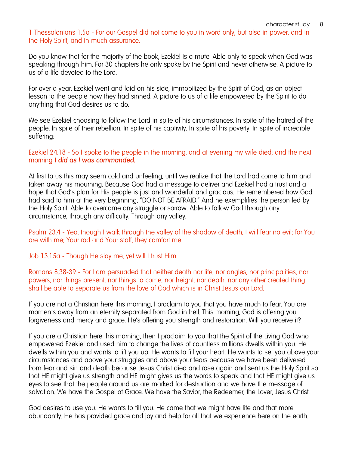1 Thessalonians 1.5a - For our Gospel did not come to you in word only, but also in power, and in the Holy Spirit, and in much assurance.

Do you know that for the majority of the book, Ezekiel is a mute. Able only to speak when God was speaking through him. For 30 chapters he only spoke by the Spirit and never otherwise. A picture to us of a life devoted to the Lord.

For over a year, Ezekiel went and laid on his side, immobilized by the Spirit of God, as an object lesson to the people how they had sinned. A picture to us of a life empowered by the Spirit to do anything that God desires us to do.

We see Ezekiel choosing to follow the Lord in spite of his circumstances. In spite of the hatred of the people. In spite of their rebellion. In spite of his captivity. In spite of his poverty. In spite of incredible suffering:

Ezekiel 24.18 - So I spoke to the people in the morning, and at evening my wife died; and the next morning *I did as I was commanded.*

At first to us this may seem cold and unfeeling, until we realize that the Lord had come to him and taken away his mourning. Because God had a message to deliver and Ezekiel had a trust and a hope that God's plan for His people is just and wonderful and gracious. He remembered how God had said to him at the very beginning, "DO NOT BE AFRAID." And he exemplifies the person led by the Holy Spirit. Able to overcome any struggle or sorrow. Able to follow God through any circumstance, through any difficulty. Through any valley.

Psalm 23.4 - Yea, though I walk through the valley of the shadow of death, I will fear no evil; for You are with me; Your rod and Your staff, they comfort me.

Job 13.15a - Though He slay me, yet will I trust Him.

Romans 8.38-39 - For I am persuaded that neither death nor life, nor angles, nor principalities, nor powers, nor things present, nor things to come, nor height, nor depth, nor any other created thing shall be able to separate us from the love of God which is in Christ Jesus our Lord.

If you are not a Christian here this morning, I proclaim to you that you have much to fear. You are moments away from an eternity separated from God in hell. This morning, God is offering you forgiveness and mercy and grace. He's offering you strength and restoration. Will you receive it?

If you are a Christian here this morning, then I proclaim to you that the Spirit of the Living God who empowered Ezekiel and used him to change the lives of countless millions dwells within you. He dwells within you and wants to lift you up. He wants to fill your heart. He wants to set you above your circumstances and above your struggles and above your fears because we have been delivered from fear and sin and death because Jesus Christ died and rose again and sent us the Holy Spirit so that HE might give us strength and HE might gives us the words to speak and that HE might give us eyes to see that the people around us are marked for destruction and we have the message of salvation. We have the Gospel of Grace. We have the Savior, the Redeemer, the Lover, Jesus Christ.

God desires to use you. He wants to fill you. He came that we might have life and that more abundantly. He has provided grace and joy and help for all that we experience here on the earth.